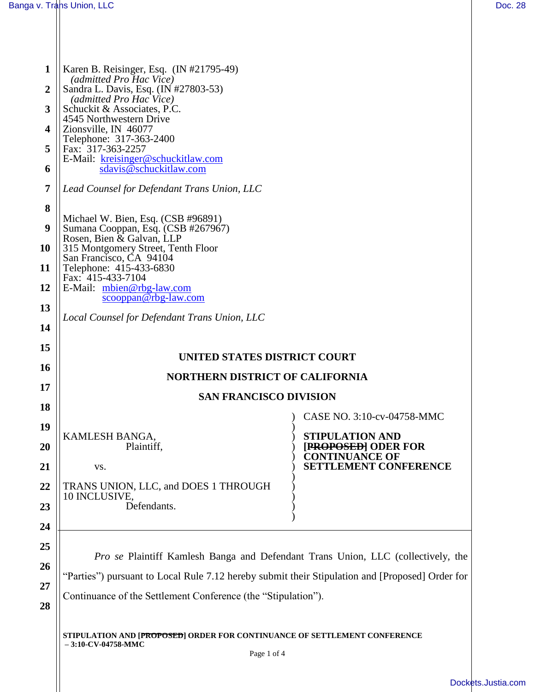$\parallel$ 

| 1                | Karen B. Reisinger, Esq. (IN #21795-49)                                                                           |                                                                                     |  |  |
|------------------|-------------------------------------------------------------------------------------------------------------------|-------------------------------------------------------------------------------------|--|--|
| $\boldsymbol{2}$ | (admitted Pro Hac Vice)<br>Sandra L. Davis, Esq. (IN #27803-53)                                                   |                                                                                     |  |  |
|                  | (admitted Pro Hac Vice)                                                                                           |                                                                                     |  |  |
| 3                | Schuckit & Associates, P.C.                                                                                       |                                                                                     |  |  |
| 4                | 4545 Northwestern Drive<br>Zionsville, IN 46077                                                                   |                                                                                     |  |  |
|                  | Telephone: 317-363-2400                                                                                           |                                                                                     |  |  |
| 5                | Fax: 317-363-2257<br>E-Mail: kreisinger@schuckitlaw.com                                                           |                                                                                     |  |  |
| 6                | sdavis@schuckitlaw.com                                                                                            |                                                                                     |  |  |
| 7                | Lead Counsel for Defendant Trans Union, LLC                                                                       |                                                                                     |  |  |
| 8                | Michael W. Bien, Esq. (CSB #96891)                                                                                |                                                                                     |  |  |
| 9                | Sumana Cooppan, Esq. (CSB #267967)                                                                                |                                                                                     |  |  |
| 10               | Rosen, Bien & Galvan, LLP<br>315 Montgomery Street, Tenth Floor                                                   |                                                                                     |  |  |
| 11               | San Francisco, CA 94104<br>Telephone: 415-433-6830                                                                |                                                                                     |  |  |
|                  | Fax: 415-433-7104                                                                                                 |                                                                                     |  |  |
| 12               | E-Mail: mbien@rbg-law.com<br>$scooppan@rbg-law.com$                                                               |                                                                                     |  |  |
| 13               | Local Counsel for Defendant Trans Union, LLC                                                                      |                                                                                     |  |  |
| 14               |                                                                                                                   |                                                                                     |  |  |
| 15               |                                                                                                                   |                                                                                     |  |  |
|                  | UNITED STATES DISTRICT COURT                                                                                      |                                                                                     |  |  |
| 16               | <b>NORTHERN DISTRICT OF CALIFORNIA</b>                                                                            |                                                                                     |  |  |
|                  |                                                                                                                   |                                                                                     |  |  |
| 17               | <b>SAN FRANCISCO DIVISION</b>                                                                                     |                                                                                     |  |  |
| 18               |                                                                                                                   | CASE NO. 3:10-cv-04758-MMC                                                          |  |  |
| 19               |                                                                                                                   |                                                                                     |  |  |
|                  | KAMLESH BANGA,                                                                                                    | <b>STIPULATION AND</b>                                                              |  |  |
| <b>20</b><br>21  | Plaintiff,<br>VS.                                                                                                 | <b>[PROPOSED] ODER FOR</b><br><b>CONTINUANCE OF</b><br><b>SETTLEMENT CONFERENCE</b> |  |  |
|                  |                                                                                                                   |                                                                                     |  |  |
| 22               | TRANS UNION, LLC, and DOES 1 THROUGH<br>10 INCLUSIVE,                                                             |                                                                                     |  |  |
| 23               | Defendants.                                                                                                       |                                                                                     |  |  |
| 24               |                                                                                                                   |                                                                                     |  |  |
| 25               |                                                                                                                   |                                                                                     |  |  |
|                  |                                                                                                                   | Pro se Plaintiff Kamlesh Banga and Defendant Trans Union, LLC (collectively, the    |  |  |
| 26               | "Parties") pursuant to Local Rule 7.12 hereby submit their Stipulation and [Proposed] Order for                   |                                                                                     |  |  |
| 27               |                                                                                                                   |                                                                                     |  |  |
| 28               | Continuance of the Settlement Conference (the "Stipulation").                                                     |                                                                                     |  |  |
|                  | STIPULATION AND [PROPOSED] ORDER FOR CONTINUANCE OF SETTLEMENT CONFERENCE<br>$-3:10$ -CV-04758-MMC<br>Page 1 of 4 |                                                                                     |  |  |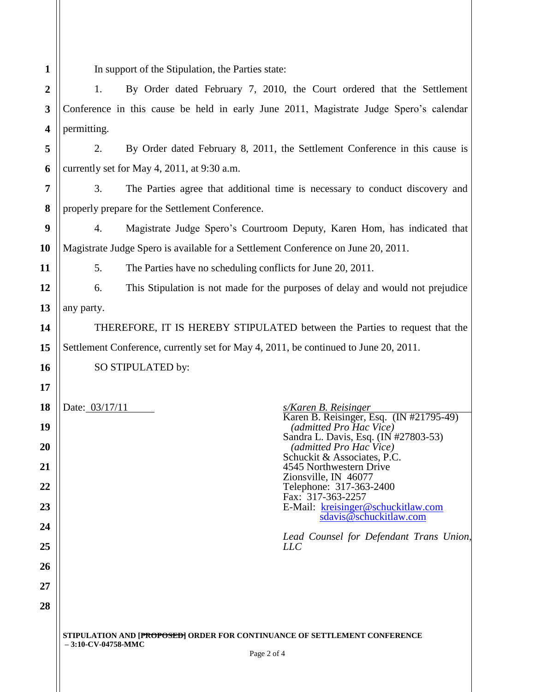**1 2**

**11**

**14**

**15**

**16**

**17**

**18**

In support of the Stipulation, the Parties state:

**3 4** 1. By Order dated February 7, 2010, the Court ordered that the Settlement Conference in this cause be held in early June 2011, Magistrate Judge Spero's calendar permitting.

**5 6** 2. By Order dated February 8, 2011, the Settlement Conference in this cause is currently set for May 4, 2011, at 9:30 a.m.

**7 8** 3. The Parties agree that additional time is necessary to conduct discovery and properly prepare for the Settlement Conference.

**9 10** 4. Magistrate Judge Spero's Courtroom Deputy, Karen Hom, has indicated that Magistrate Judge Spero is available for a Settlement Conference on June 20, 2011.

5. The Parties have no scheduling conflicts for June 20, 2011.

**12 13** 6. This Stipulation is not made for the purposes of delay and would not prejudice any party.

THEREFORE, IT IS HEREBY STIPULATED between the Parties to request that the Settlement Conference, currently set for May 4, 2011, be continued to June 20, 2011.

Karen B. Reisinger, Esq. (IN #21795-49)

Sandra L. Davis, Esq. (IN #27803-53)

E-Mail: kreisinger@schuckitlaw.com sdavis@schuckitlaw.com

*Lead Counsel for Defendant Trans Union,* 

*(admitted Pro Hac Vice)*

 *(admitted Pro Hac Vice)* Schuckit & Associates, P.C. 4545 Northwestern Drive Zionsville, IN 46077 Telephone: 317-363-2400 Fax: 317-363-2257

SO STIPULATED by:

Date: 03/17/11 *s/Karen B. Reisinger*

**25**

**26**

**27**

**28**

**STIPULATION AND [PROPOSED] ORDER FOR CONTINUANCE OF SETTLEMENT CONFERENCE – 3:10-CV-04758-MMC**

*LLC*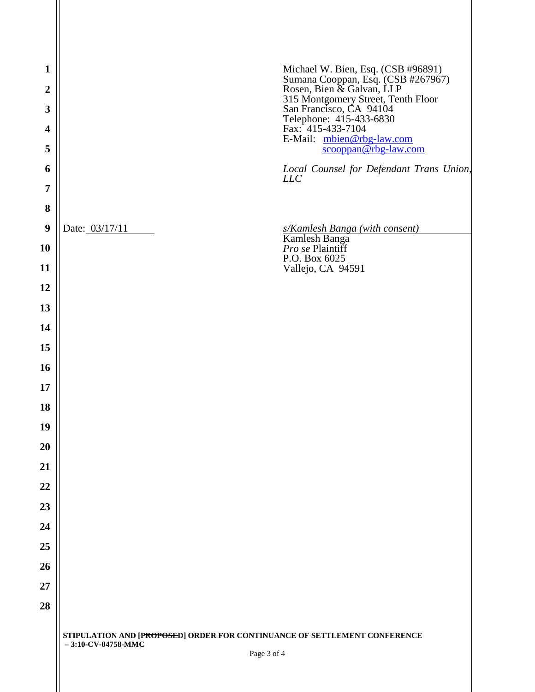| $\mathbf{1}$            | Michael W. Bien, Esq. (CSB #96891)                                                                                               |  |  |
|-------------------------|----------------------------------------------------------------------------------------------------------------------------------|--|--|
| $\overline{2}$          | Sumana Cooppan, Esq. (CSB #267967)<br>Rosen, Bien & Galvan, LLP<br>315 Montgomery Street, Tenth Floor<br>San Francisco, CA 94104 |  |  |
| 3                       | Telephone: 415-433-6830                                                                                                          |  |  |
| $\overline{\mathbf{4}}$ | Fax: 415-433-7104<br>E-Mail: mbien@rbg-law.com                                                                                   |  |  |
| 5                       | scooppan@rbg-law.com                                                                                                             |  |  |
| 6                       | Local Counsel for Defendant Trans Union,<br><b>LLC</b>                                                                           |  |  |
| 7                       |                                                                                                                                  |  |  |
| 8                       |                                                                                                                                  |  |  |
| 9                       | Date: 03/17/11<br>s/Kamlesh Banga (with consent)                                                                                 |  |  |
| 10                      | Kamlesh Banga<br>Pro se Plaintiff<br>P.O. Box 6025                                                                               |  |  |
| 11                      | Vallejo, CA 94591                                                                                                                |  |  |
| 12                      |                                                                                                                                  |  |  |
| 13                      |                                                                                                                                  |  |  |
| 14                      |                                                                                                                                  |  |  |
| 15                      |                                                                                                                                  |  |  |
| 16                      |                                                                                                                                  |  |  |
| 17                      |                                                                                                                                  |  |  |
| 18                      |                                                                                                                                  |  |  |
| 19                      |                                                                                                                                  |  |  |
| 20                      |                                                                                                                                  |  |  |
| 21                      |                                                                                                                                  |  |  |
| 22                      |                                                                                                                                  |  |  |
| 23                      |                                                                                                                                  |  |  |
| 24                      |                                                                                                                                  |  |  |
| 25                      |                                                                                                                                  |  |  |
| 26                      |                                                                                                                                  |  |  |
| 27                      |                                                                                                                                  |  |  |
| 28                      |                                                                                                                                  |  |  |
|                         | STIPULATION AND [PROPOSED] ORDER FOR CONTINUANCE OF SETTLEMENT CONFERENCE<br>$-3:10$ -CV-04758-MMC<br>Page 3 of 4                |  |  |